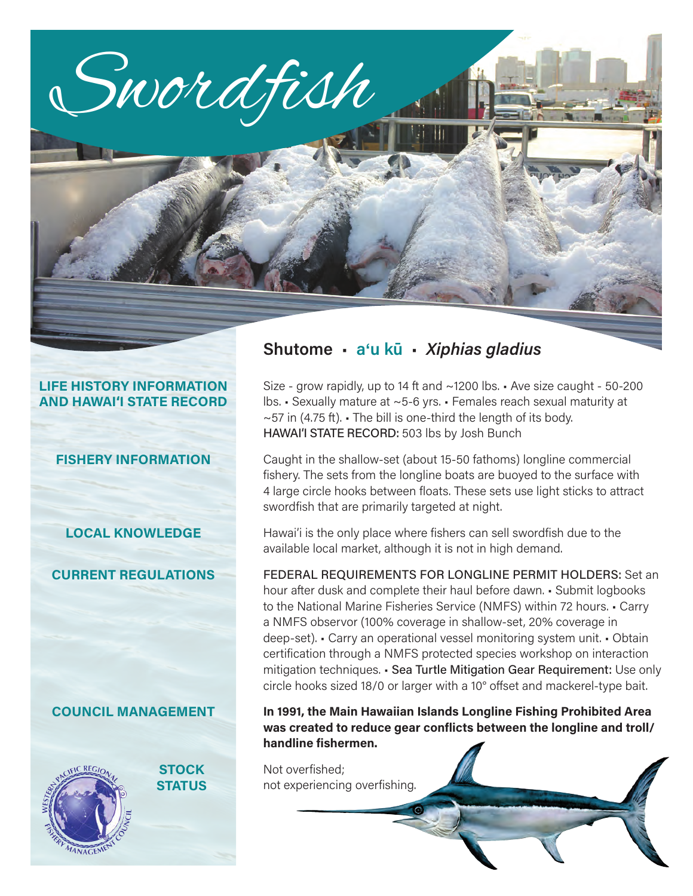

#### **LIFE HISTORY INFORMATION AND HAWAI'I STATE RECORD**

#### **FISHERY INFORMATION**

**LOCAL KNOWLEDGE**

**CURRENT REGULATIONS**

#### **COUNCIL MANAGEMENT**



**STOCK STATUS**

## **Shutome** • **a**'**u kū** • *Xiphias gladius*

Size - grow rapidly, up to 14 ft and ~1200 lbs. • Ave size caught - 50-200 lbs. • Sexually mature at ~5-6 yrs. • Females reach sexual maturity at  $\sim$  57 in (4.75 ft).  $\cdot$  The bill is one-third the length of its body. HAWAI'I STATE RECORD: 503 lbs by Josh Bunch

Caught in the shallow-set (about 15-50 fathoms) longline commercial fishery. The sets from the longline boats are buoyed to the surface with 4 large circle hooks between floats. These sets use light sticks to attract swordfish that are primarily targeted at night.

Hawai'i is the only place where fishers can sell swordfish due to the available local market, although it is not in high demand.

FEDERAL REQUIREMENTS FOR LONGLINE PERMIT HOLDERS: Set an hour after dusk and complete their haul before dawn. • Submit logbooks to the National Marine Fisheries Service (NMFS) within 72 hours. • Carry a NMFS observor (100% coverage in shallow-set, 20% coverage in deep-set). • Carry an operational vessel monitoring system unit. • Obtain certification through a NMFS protected species workshop on interaction mitigation techniques. • Sea Turtle Mitigation Gear Requirement: Use only circle hooks sized 18/0 or larger with a 10° offset and mackerel-type bait.

#### **In 1991, the Main Hawaiian Islands Longline Fishing Prohibited Area was created to reduce gear conflicts between the longline and troll/ handline fishermen.**

Not overfished; not experiencing overfishing.